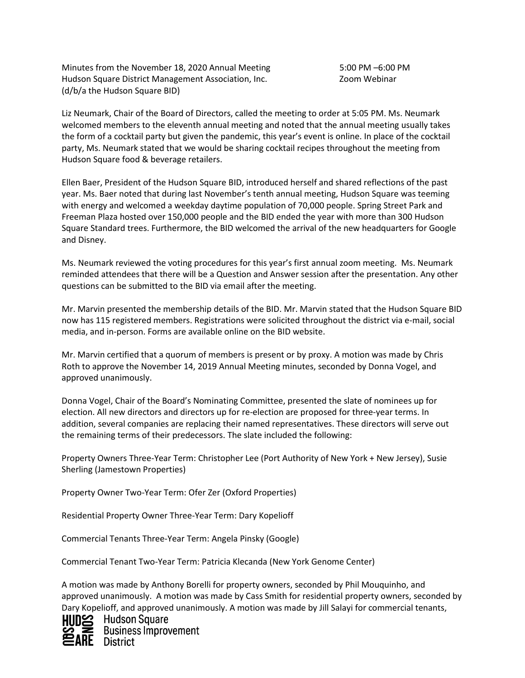Minutes from the November 18, 2020 Annual Meeting 5:00 PM –6:00 PM Hudson Square District Management Association, Inc. **Example 2018** Zoom Webinar (d/b/a the Hudson Square BID)

Liz Neumark, Chair of the Board of Directors, called the meeting to order at 5:05 PM. Ms. Neumark welcomed members to the eleventh annual meeting and noted that the annual meeting usually takes the form of a cocktail party but given the pandemic, this year's event is online. In place of the cocktail party, Ms. Neumark stated that we would be sharing cocktail recipes throughout the meeting from Hudson Square food & beverage retailers.

Ellen Baer, President of the Hudson Square BID, introduced herself and shared reflections of the past year. Ms. Baer noted that during last November's tenth annual meeting, Hudson Square was teeming with energy and welcomed a weekday daytime population of 70,000 people. Spring Street Park and Freeman Plaza hosted over 150,000 people and the BID ended the year with more than 300 Hudson Square Standard trees. Furthermore, the BID welcomed the arrival of the new headquarters for Google and Disney.

Ms. Neumark reviewed the voting procedures for this year's first annual zoom meeting. Ms. Neumark reminded attendees that there will be a Question and Answer session after the presentation. Any other questions can be submitted to the BID via email after the meeting.

Mr. Marvin presented the membership details of the BID. Mr. Marvin stated that the Hudson Square BID now has 115 registered members. Registrations were solicited throughout the district via e-mail, social media, and in-person. Forms are available online on the BID website.

Mr. Marvin certified that a quorum of members is present or by proxy. A motion was made by Chris Roth to approve the November 14, 2019 Annual Meeting minutes, seconded by Donna Vogel, and approved unanimously.

Donna Vogel, Chair of the Board's Nominating Committee, presented the slate of nominees up for election. All new directors and directors up for re-election are proposed for three-year terms. In addition, several companies are replacing their named representatives. These directors will serve out the remaining terms of their predecessors. The slate included the following:

Property Owners Three-Year Term: Christopher Lee (Port Authority of New York + New Jersey), Susie Sherling (Jamestown Properties)

Property Owner Two-Year Term: Ofer Zer (Oxford Properties)

Residential Property Owner Three-Year Term: Dary Kopelioff

Commercial Tenants Three-Year Term: Angela Pinsky (Google)

Commercial Tenant Two-Year Term: Patricia Klecanda (New York Genome Center)

A motion was made by Anthony Borelli for property owners, seconded by Phil Mouquinho, and approved unanimously. A motion was made by Cass Smith for residential property owners, seconded by Dary Kopelioff, and approved unanimously. A motion was made by Jill Salayi for commercial tenants,



**HIID\$2** Hudson Square **Business Improvement RE** District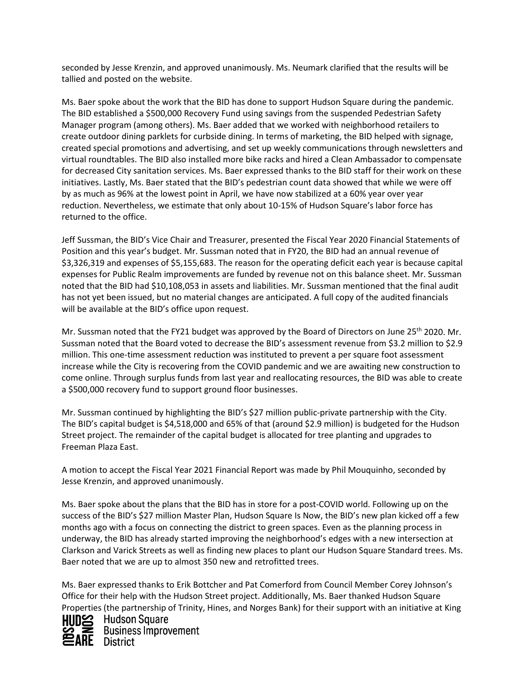seconded by Jesse Krenzin, and approved unanimously. Ms. Neumark clarified that the results will be tallied and posted on the website.

Ms. Baer spoke about the work that the BID has done to support Hudson Square during the pandemic. The BID established a \$500,000 Recovery Fund using savings from the suspended Pedestrian Safety Manager program (among others). Ms. Baer added that we worked with neighborhood retailers to create outdoor dining parklets for curbside dining. In terms of marketing, the BID helped with signage, created special promotions and advertising, and set up weekly communications through newsletters and virtual roundtables. The BID also installed more bike racks and hired a Clean Ambassador to compensate for decreased City sanitation services. Ms. Baer expressed thanks to the BID staff for their work on these initiatives. Lastly, Ms. Baer stated that the BID's pedestrian count data showed that while we were off by as much as 96% at the lowest point in April, we have now stabilized at a 60% year over year reduction. Nevertheless, we estimate that only about 10-15% of Hudson Square's labor force has returned to the office.

Jeff Sussman, the BID's Vice Chair and Treasurer, presented the Fiscal Year 2020 Financial Statements of Position and this year's budget. Mr. Sussman noted that in FY20, the BID had an annual revenue of \$3,326,319 and expenses of \$5,155,683. The reason for the operating deficit each year is because capital expenses for Public Realm improvements are funded by revenue not on this balance sheet. Mr. Sussman noted that the BID had \$10,108,053 in assets and liabilities. Mr. Sussman mentioned that the final audit has not yet been issued, but no material changes are anticipated. A full copy of the audited financials will be available at the BID's office upon request.

Mr. Sussman noted that the FY21 budget was approved by the Board of Directors on June 25<sup>th</sup> 2020. Mr. Sussman noted that the Board voted to decrease the BID's assessment revenue from \$3.2 million to \$2.9 million. This one-time assessment reduction was instituted to prevent a per square foot assessment increase while the City is recovering from the COVID pandemic and we are awaiting new construction to come online. Through surplus funds from last year and reallocating resources, the BID was able to create a \$500,000 recovery fund to support ground floor businesses.

Mr. Sussman continued by highlighting the BID's \$27 million public-private partnership with the City. The BID's capital budget is \$4,518,000 and 65% of that (around \$2.9 million) is budgeted for the Hudson Street project. The remainder of the capital budget is allocated for tree planting and upgrades to Freeman Plaza East.

A motion to accept the Fiscal Year 2021 Financial Report was made by Phil Mouquinho, seconded by Jesse Krenzin, and approved unanimously.

Ms. Baer spoke about the plans that the BID has in store for a post-COVID world. Following up on the success of the BID's \$27 million Master Plan, Hudson Square Is Now, the BID's new plan kicked off a few months ago with a focus on connecting the district to green spaces. Even as the planning process in underway, the BID has already started improving the neighborhood's edges with a new intersection at Clarkson and Varick Streets as well as finding new places to plant our Hudson Square Standard trees. Ms. Baer noted that we are up to almost 350 new and retrofitted trees.

Ms. Baer expressed thanks to Erik Bottcher and Pat Comerford from Council Member Corey Johnson's Office for their help with the Hudson Street project. Additionally, Ms. Baer thanked Hudson Square Properties (the partnership of Trinity, Hines, and Norges Bank) for their support with an initiative at King



HIIDS Hudson Square **Business Improvement RE** District